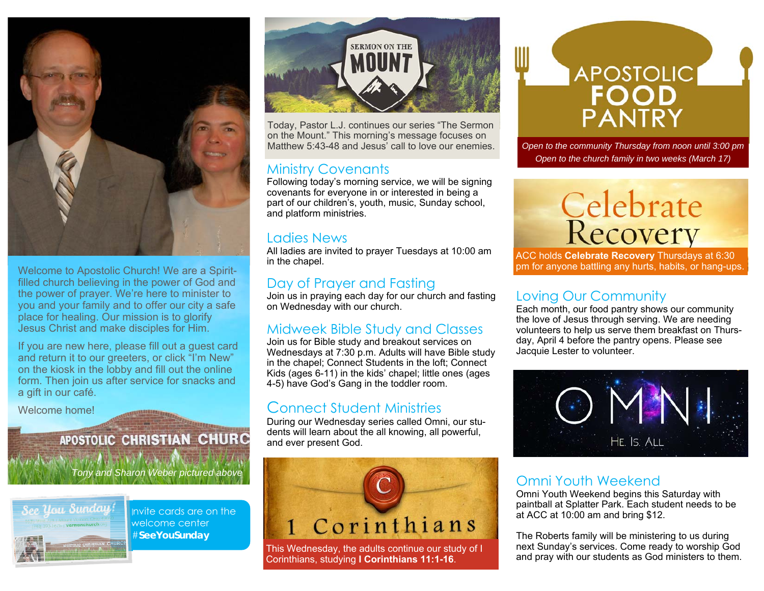

Welcome to Apostolic Church! We are a Spiritfilled church believing in the power of God and the power of prayer. We're here to minister to you and your family and to offer our city a safe place for healing. Our mission is to glorify Jesus Christ and make disciples for Him.

If you are new here, please fill out a guest card and return it to our greeters, or click "I'm New" on the kiosk in the lobby and fill out the online form. Then join us after service for snacks and a gift in our café.

Welcome home!

# **APOSTOLIC CHRISTIAN CHURC**

*Tony and Sharon Weber pictured above* 



Invite cards are on the welcome center #**SeeYouSunday** 



Today, Pastor L.J. continues our series "The Sermon on the Mount." This morning's message focuses on Matthew 5:43-48 and Jesus' call to love our enemies.

#### Ministry Covenants

Following today's morning service, we will be signing covenants for everyone in or interested in being a part of our children's, youth, music, Sunday school, and platform ministries.

#### Ladies News

All ladies are invited to prayer Tuesdays at 10:00 am in the chapel.

#### Day of Prayer and Fasting

Join us in praying each day for our church and fasting on Wednesday with our church.

#### Midweek Bible Study and Classes

Join us for Bible study and breakout services on Wednesdays at 7:30 p.m. Adults will have Bible study in the chapel; Connect Students in the loft; Connect Kids (ages 6-11) in the kids' chapel; little ones (ages 4-5) have God's Gang in the toddler room.

#### Connect Student Ministries

During our Wednesday series called Omni, our students will learn about the all knowing, all powerful, and ever present God.



This Wednesday, the adults continue our study of I Corinthians, studying **I Corinthians 11:1-16**.

# APOSTOLIC

*Open to the community Thursday from noon until 3:00 pm Open to the church family in two weeks (March 17)* 

# Celebrate<br>Recovery

ACC holds **Celebrate Recovery** Thursdays at 6:30 pm for anyone battling any hurts, habits, or hang-ups.

#### Loving Our Community

Each month, our food pantry shows our community the love of Jesus through serving. We are needing volunteers to help us serve them breakfast on Thursday, April 4 before the pantry opens. Please see Jacquie Lester to volunteer.



#### Omni Youth Weekend

Omni Youth Weekend begins this Saturday with paintball at Splatter Park. Each student needs to be at ACC at 10:00 am and bring \$12.

The Roberts family will be ministering to us during next Sunday's services. Come ready to worship God and pray with our students as God ministers to them.